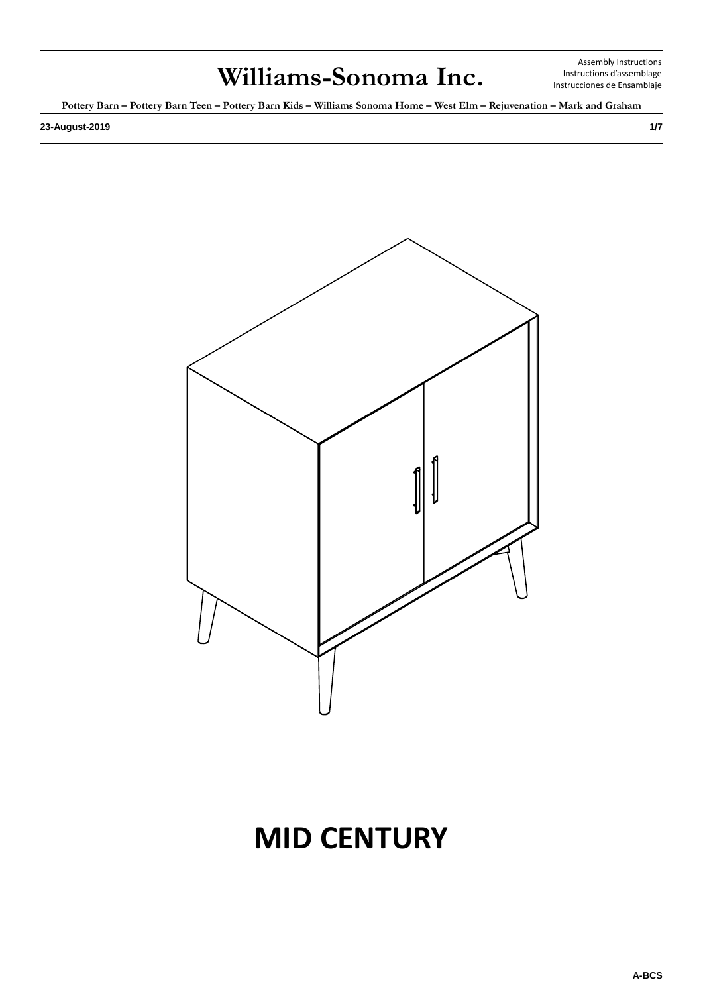Assembly Instructions Instructions d'assemblage Instrucciones de Ensamblaje

**Pottery Barn – Pottery Barn Teen – Pottery Barn Kids – Williams Sonoma Home – West Elm – Rejuvenation – Mark and Graham**

**23-August-2019 1/7**



# **MID CENTURY**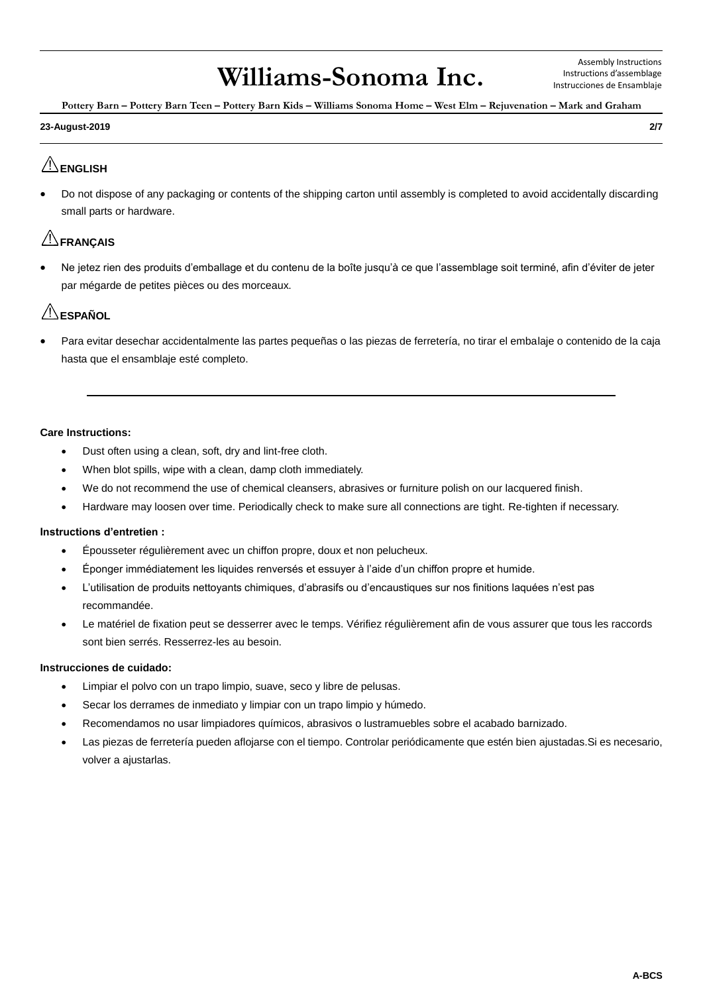**Pottery Barn – Pottery Barn Teen – Pottery Barn Kids – Williams Sonoma Home – West Elm – Rejuvenation – Mark and Graham**

#### **23-August-2019 2/7**

## **ENGLISH**

• Do not dispose of any packaging or contents of the shipping carton until assembly is completed to avoid accidentally discarding small parts or hardware.

### **EXAMÇAIS**

• Ne jetez rien des produits d'emballage et du contenu de la boîte jusqu'à ce que l'assemblage soit terminé, afin d'éviter de jeter par mégarde de petites pièces ou des morceaux.

## $^{\prime\prime}$ ESPAÑOL

• Para evitar desechar accidentalmente las partes pequeñas o las piezas de ferretería, no tirar el embalaje o contenido de la caja hasta que el ensamblaje esté completo.

### **Care Instructions:**

- Dust often using a clean, soft, dry and lint-free cloth.
- When blot spills, wipe with a clean, damp cloth immediately.
- We do not recommend the use of chemical cleansers, abrasives or furniture polish on our lacquered finish.
- Hardware may loosen over time. Periodically check to make sure all connections are tight. Re-tighten if necessary.

### **Instructions d'entretien :**

- Épousseter régulièrement avec un chiffon propre, doux et non pelucheux.
- Éponger immédiatement les liquides renversés et essuyer à l'aide d'un chiffon propre et humide.
- L'utilisation de produits nettoyants chimiques, d'abrasifs ou d'encaustiques sur nos finitions laquées n'est pas recommandée.
- Le matériel de fixation peut se desserrer avec le temps. Vérifiez régulièrement afin de vous assurer que tous les raccords sont bien serrés. Resserrez-les au besoin.

#### **Instrucciones de cuidado:**

- Limpiar el polvo con un trapo limpio, suave, seco y libre de pelusas.
- Secar los derrames de inmediato y limpiar con un trapo limpio y húmedo.
- Recomendamos no usar limpiadores químicos, abrasivos o lustramuebles sobre el acabado barnizado.
- Las piezas de ferretería pueden aflojarse con el tiempo. Controlar periódicamente que estén bien ajustadas.Si es necesario, volver a ajustarlas.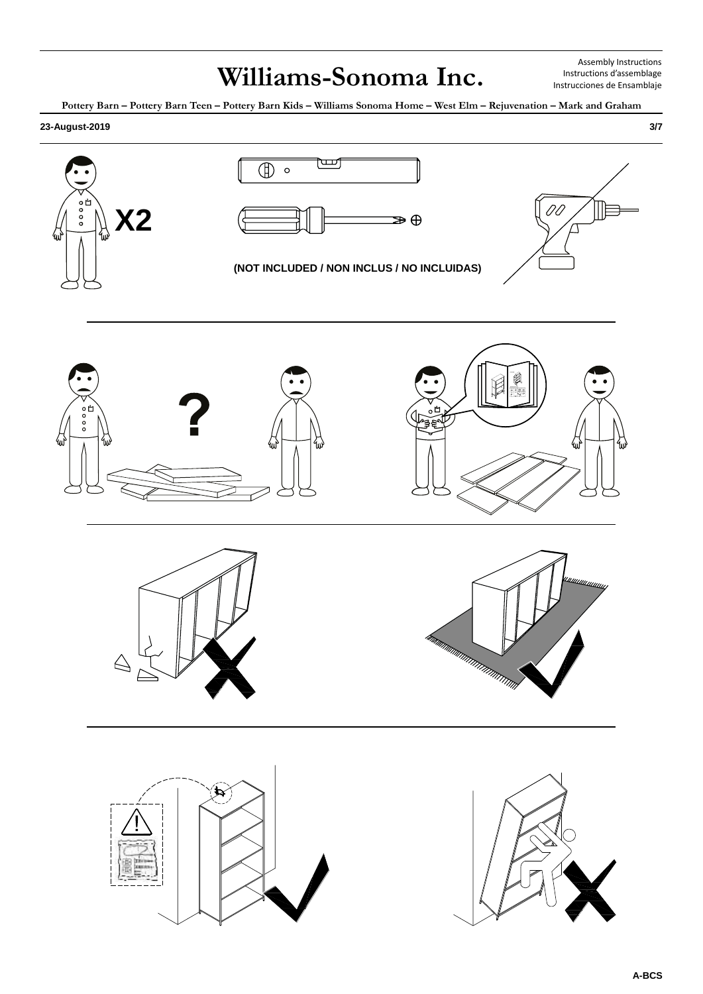Assembly Instructions Instructions d'assemblage Instrucciones de Ensamblaje

**Pottery Barn – Pottery Barn Teen – Pottery Barn Kids – Williams Sonoma Home – West Elm – Rejuvenation – Mark and Graham**

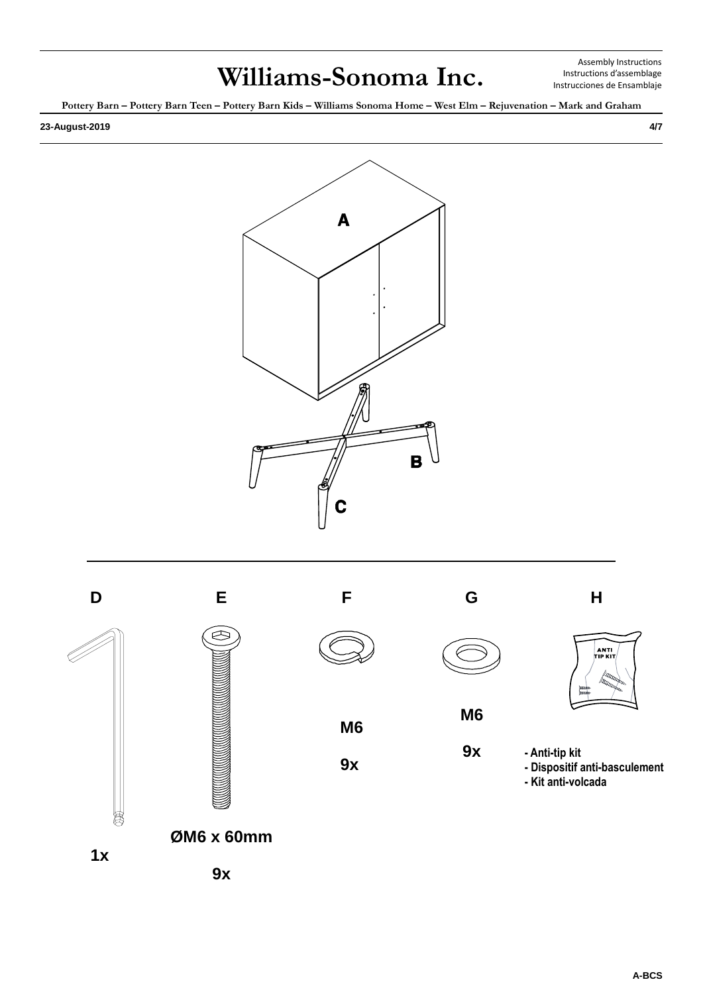Assembly Instructions Instructions d'assemblage Instrucciones de Ensamblaje

**Pottery Barn – Pottery Barn Teen – Pottery Barn Kids – Williams Sonoma Home – West Elm – Rejuvenation – Mark and Graham**









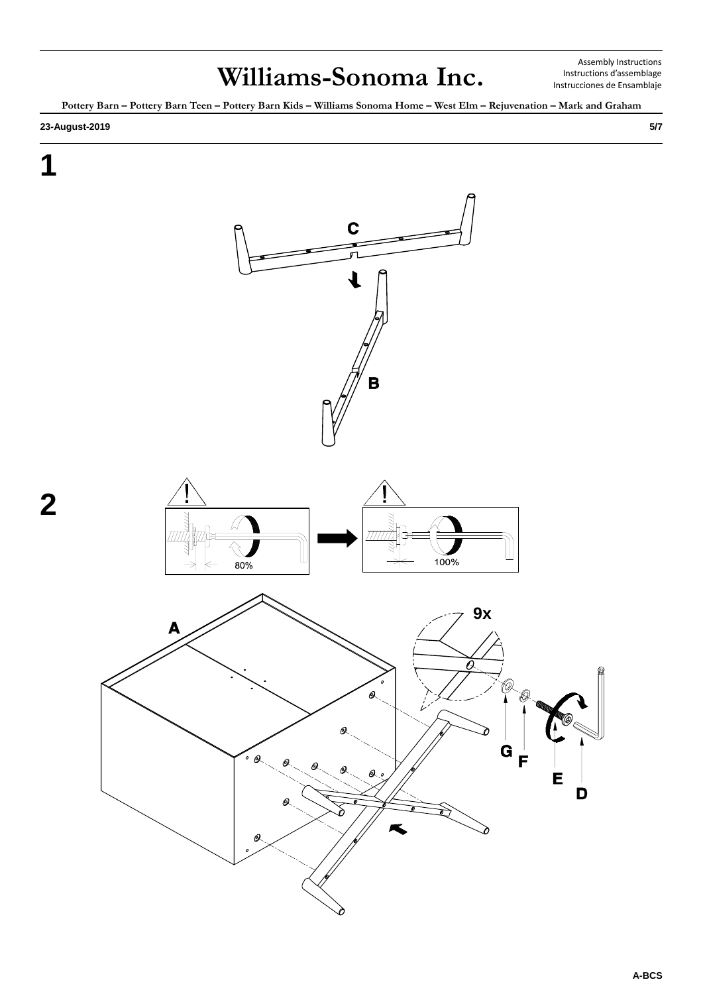Assembly Instructions Instructions d'assemblage Instrucciones de Ensamblaje

**Pottery Barn – Pottery Barn Teen – Pottery Barn Kids – Williams Sonoma Home – West Elm – Rejuvenation – Mark and Graham**

#### **23-August-2019 5/7**

**1**

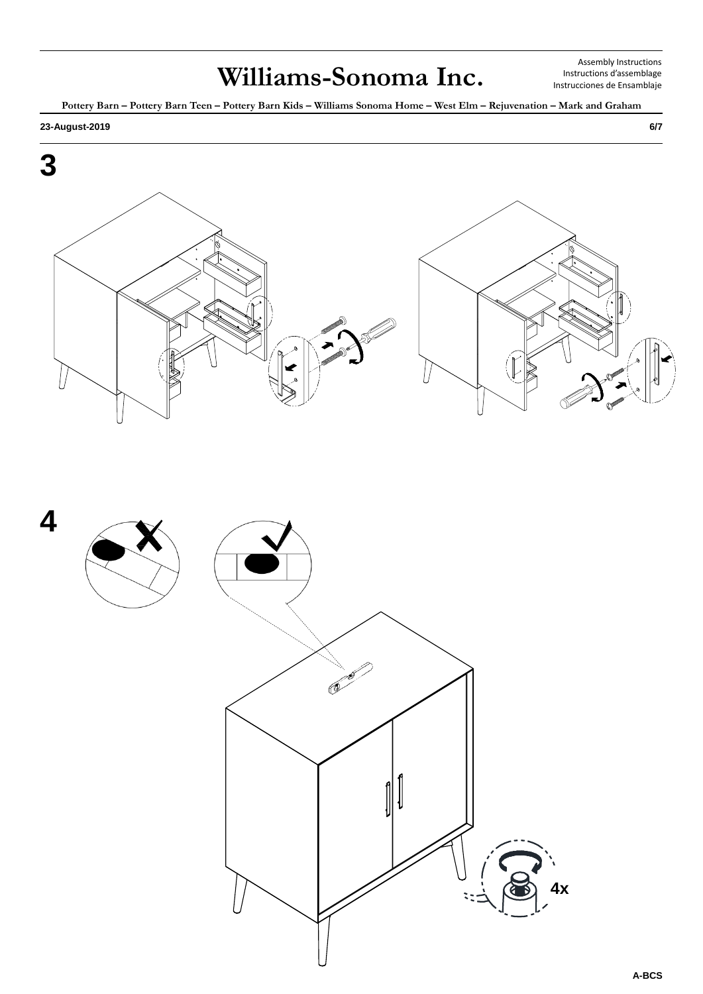Assembly Instructions Instructions d'assemblage Instrucciones de Ensamblaje

**Pottery Barn – Pottery Barn Teen – Pottery Barn Kids – Williams Sonoma Home – West Elm – Rejuvenation – Mark and Graham**

#### **23-August-2019 6/7**